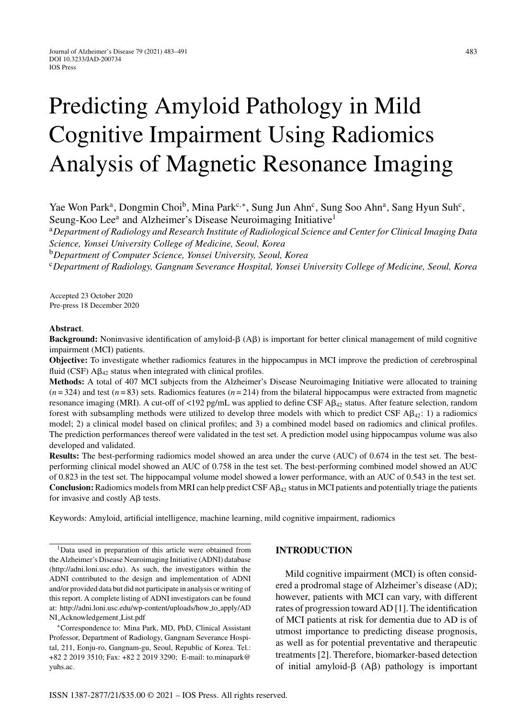# Predicting Amyloid Pathology in Mild Cognitive Impairment Using Radiomics Analysis of Magnetic Resonance Imaging

Yae Won Park<sup>a</sup>, Dongmin Choi<sup>b</sup>, Mina Park<sup>c,∗</sup>, Sung Jun Ahn<sup>c</sup>, Sung Soo Ahn<sup>a</sup>, Sang Hyun Suh<sup>c</sup>, Seung-Koo Lee<sup>a</sup> and Alzheimer's Disease Neuroimaging Initiative<sup>1</sup>

<sup>a</sup>*Department of Radiology and Research Institute of Radiological Science and Center for Clinical Imaging Data Science, Yonsei University College of Medicine, Seoul, Korea*

<sup>b</sup>*Department of Computer Science, Yonsei University, Seoul, Korea*

<sup>c</sup>*Department of Radiology, Gangnam Severance Hospital, Yonsei University College of Medicine, Seoul, Korea*

Accepted 23 October 2020 Pre-press 18 December 2020

#### **Abstract**.

Background: Noninvasive identification of amyloid- $\beta$  (A $\beta$ ) is important for better clinical management of mild cognitive impairment (MCI) patients.

**Objective:** To investigate whether radiomics features in the hippocampus in MCI improve the prediction of cerebrospinal fluid (CSF)  $A\beta_{42}$  status when integrated with clinical profiles.

**Methods:** A total of 407 MCI subjects from the Alzheimer's Disease Neuroimaging Initiative were allocated to training  $(n=324)$  and test  $(n=83)$  sets. Radiomics features  $(n=214)$  from the bilateral hippocampus were extracted from magnetic resonance imaging (MRI). A cut-off of <192 pg/mL was applied to define CSF A $\beta_{42}$  status. After feature selection, random forest with subsampling methods were utilized to develop three models with which to predict CSF  $\mathsf{A}\beta_{42}$ : 1) a radiomics model; 2) a clinical model based on clinical profiles; and 3) a combined model based on radiomics and clinical profiles. The prediction performances thereof were validated in the test set. A prediction model using hippocampus volume was also developed and validated.

**Results:** The best-performing radiomics model showed an area under the curve (AUC) of 0.674 in the test set. The bestperforming clinical model showed an AUC of 0.758 in the test set. The best-performing combined model showed an AUC of 0.823 in the test set. The hippocampal volume model showed a lower performance, with an AUC of 0.543 in the test set. **Conclusion:** Radiomics models from MRI can help predict CSF A $\beta_{42}$  status in MCI patients and potentially triage the patients for invasive and costly  $\mathsf{A}\beta$  tests.

Keywords: Amyloid, artificial intelligence, machine learning, mild cognitive impairment, radiomics

1Data used in preparation of this article were obtained from the Alzheimer's Disease Neuroimaging Initiative (ADNI) database ([http://adni.loni.usc.edu\)](http://adni.loni.usc.edu). As such, the investigators within the ADNI contributed to the design and implementation of ADNI and/or provided data but did not participate in analysis or writing of this report. A complete listing of ADNI investigators can be found at: [http://adni.loni.usc.edu/wp-content/uploads/how](http://adni.loni.usc.edu/wp-content/uploads/how_to_apply/ADNI_Acknowledgement_List.pdf) to apply/AD NI Acknowledgement List.pdf

∗Correspondence to: Mina Park, MD, PhD, Clinical Assistant Professor, Department of Radiology, Gangnam Severance Hospital, 211, Eonju-ro, Gangnam-gu, Seoul, Republic of Korea. Tel.: +82 2 2019 3510; Fax: +82 2 2019 3290; E-mail: [to.minapark@](mailto:to.minapark@{penalty -@M }yuhs.ac) yuhs.ac.

#### **INTRODUCTION**

Mild cognitive impairment (MCI) is often considered a prodromal stage of Alzheimer's disease (AD); however, patients with MCI can vary, with different rates of progression toward AD [1]. The identification of MCI patients at risk for dementia due to AD is of utmost importance to predicting disease prognosis, as well as for potential preventative and therapeutic treatments [2]. Therefore, biomarker-based detection of initial amyloid- $\beta$  (A $\beta$ ) pathology is important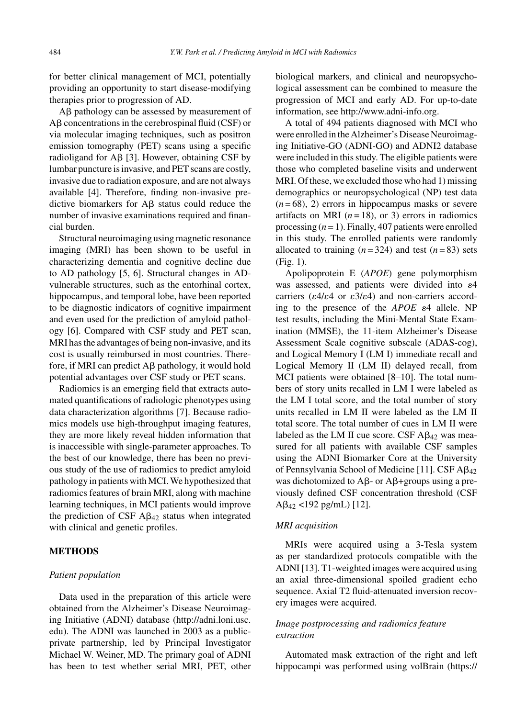for better clinical management of MCI, potentially providing an opportunity to start disease-modifying therapies prior to progression of AD.

A $\beta$  pathology can be assessed by measurement of  $\text{A}\beta$  concentrations in the cerebrospinal fluid (CSF) or via molecular imaging techniques, such as positron emission tomography (PET) scans using a specific radioligand for A $\beta$  [3]. However, obtaining CSF by lumbar puncture is invasive, and PET scans are costly, invasive due to radiation exposure, and are not always available [4]. Therefore, finding non-invasive predictive biomarkers for  $\text{A}\beta$  status could reduce the number of invasive examinations required and financial burden.

Structural neuroimaging using magnetic resonance imaging (MRI) has been shown to be useful in characterizing dementia and cognitive decline due to AD pathology [5, 6]. Structural changes in ADvulnerable structures, such as the entorhinal cortex, hippocampus, and temporal lobe, have been reported to be diagnostic indicators of cognitive impairment and even used for the prediction of amyloid pathology [6]. Compared with CSF study and PET scan, MRI has the advantages of being non-invasive, and its cost is usually reimbursed in most countries. Therefore, if MRI can predict  $A\beta$  pathology, it would hold potential advantages over CSF study or PET scans.

Radiomics is an emerging field that extracts automated quantifications of radiologic phenotypes using data characterization algorithms [7]. Because radiomics models use high-throughput imaging features, they are more likely reveal hidden information that is inaccessible with single-parameter approaches. To the best of our knowledge, there has been no previous study of the use of radiomics to predict amyloid pathology in patients with MCI. We hypothesized that radiomics features of brain MRI, along with machine learning techniques, in MCI patients would improve the prediction of CSF  $A\beta_{42}$  status when integrated with clinical and genetic profiles.

## **METHODS**

## *Patient population*

Data used in the preparation of this article were obtained from the Alzheimer's Disease Neuroimaging Initiative (ADNI) database [\(http://adni.loni.usc.](http://adni.loni.usc.edu) edu). The ADNI was launched in 2003 as a publicprivate partnership, led by Principal Investigator Michael W. Weiner, MD. The primary goal of ADNI has been to test whether serial MRI, PET, other biological markers, and clinical and neuropsychological assessment can be combined to measure the progression of MCI and early AD. For up-to-date information, see<http://www.adni-info.org>.

A total of 494 patients diagnosed with MCI who were enrolled in the Alzheimer's Disease Neuroimaging Initiative-GO (ADNI-GO) and ADNI2 database were included in this study. The eligible patients were those who completed baseline visits and underwent MRI. Of these, we excluded those who had 1) missing demographics or neuropsychological (NP) test data  $(n=68)$ , 2) errors in hippocampus masks or severe artifacts on MRI  $(n=18)$ , or 3) errors in radiomics processing (*n* = 1). Finally, 407 patients were enrolled in this study. The enrolled patients were randomly allocated to training  $(n=324)$  and test  $(n=83)$  sets (Fig. 1).

Apolipoprotein E (*APOE*) gene polymorphism was assessed, and patients were divided into  $\varepsilon$ 4 carriers ( $\varepsilon 4/\varepsilon 4$  or  $\varepsilon 3/\varepsilon 4$ ) and non-carriers according to the presence of the  $APOE$   $\varepsilon$ <sup>4</sup> allele. NP test results, including the Mini-Mental State Examination (MMSE), the 11-item Alzheimer's Disease Assessment Scale cognitive subscale (ADAS-cog), and Logical Memory I (LM I) immediate recall and Logical Memory II (LM II) delayed recall, from MCI patients were obtained [8–10]. The total numbers of story units recalled in LM I were labeled as the LM I total score, and the total number of story units recalled in LM II were labeled as the LM II total score. The total number of cues in LM II were labeled as the LM II cue score. CSF  $A\beta_{42}$  was measured for all patients with available CSF samples using the ADNI Biomarker Core at the University of Pennsylvania School of Medicine [11]. CSF  $A\beta_{42}$ was dichotomized to A $\beta$ - or A $\beta$ +groups using a previously defined CSF concentration threshold (CSF  $A\beta_{42}$  <192 pg/mL) [12].

# *MRI acquisition*

MRIs were acquired using a 3-Tesla system as per standardized protocols compatible with the ADNI [13]. T1-weighted images were acquired using an axial three-dimensional spoiled gradient echo sequence. Axial T2 fluid-attenuated inversion recovery images were acquired.

# *Image postprocessing and radiomics feature extraction*

Automated mask extraction of the right and left hippocampi was performed using volBrain [\(https://](https://volbrain.upv.es/)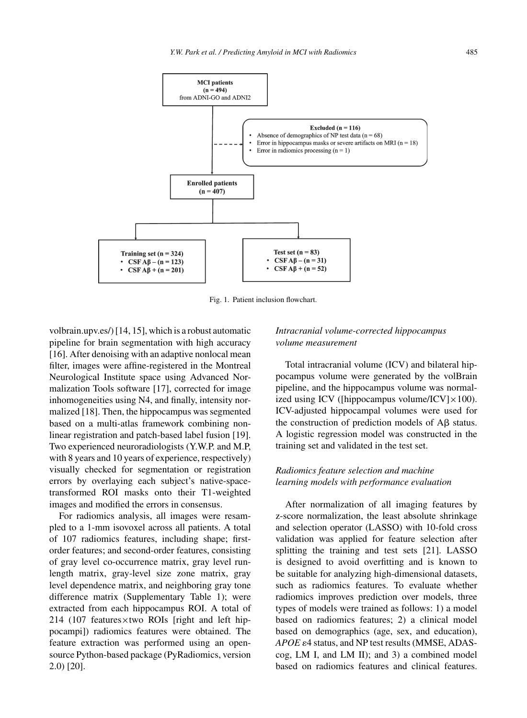

Fig. 1. Patient inclusion flowchart.

volbrain.upv.es/) [14, 15], which is a robust automatic pipeline for brain segmentation with high accuracy [16]. After denoising with an adaptive nonlocal mean filter, images were affine-registered in the Montreal Neurological Institute space using Advanced Normalization Tools software [17], corrected for image inhomogeneities using N4, and finally, intensity normalized [18]. Then, the hippocampus was segmented based on a multi-atlas framework combining nonlinear registration and patch-based label fusion [19]. Two experienced neuroradiologists (Y.W.P. and M.P, with 8 years and 10 years of experience, respectively) visually checked for segmentation or registration errors by overlaying each subject's native-spacetransformed ROI masks onto their T1-weighted images and modified the errors in consensus.

For radiomics analysis, all images were resampled to a 1-mm isovoxel across all patients. A total of 107 radiomics features, including shape; firstorder features; and second-order features, consisting of gray level co-occurrence matrix, gray level runlength matrix, gray-level size zone matrix, gray level dependence matrix, and neighboring gray tone difference matrix (Supplementary Table 1); were extracted from each hippocampus ROI. A total of 214 (107 features×two ROIs [right and left hippocampi]) radiomics features were obtained. The feature extraction was performed using an opensource Python-based package (PyRadiomics, version 2.0) [20].

# *Intracranial volume-corrected hippocampus volume measurement*

Total intracranial volume (ICV) and bilateral hippocampus volume were generated by the volBrain pipeline, and the hippocampus volume was normalized using ICV ([hippocampus volume/ICV] $\times$ 100). ICV-adjusted hippocampal volumes were used for the construction of prediction models of  $A\beta$  status. A logistic regression model was constructed in the training set and validated in the test set.

# *Radiomics feature selection and machine learning models with performance evaluation*

After normalization of all imaging features by z-score normalization, the least absolute shrinkage and selection operator (LASSO) with 10-fold cross validation was applied for feature selection after splitting the training and test sets [21]. LASSO is designed to avoid overfitting and is known to be suitable for analyzing high-dimensional datasets, such as radiomics features. To evaluate whether radiomics improves prediction over models, three types of models were trained as follows: 1) a model based on radiomics features; 2) a clinical model based on demographics (age, sex, and education), APOE  $\varepsilon$ 4 status, and NP test results (MMSE, ADAScog, LM I, and LM II); and 3) a combined model based on radiomics features and clinical features.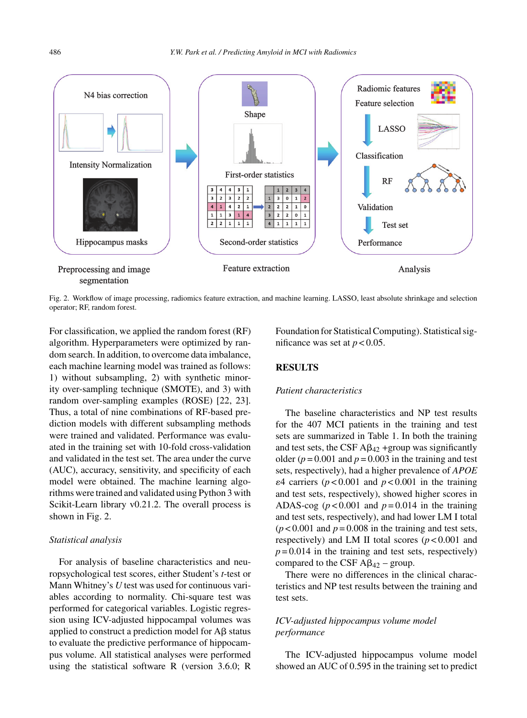

Fig. 2. Workflow of image processing, radiomics feature extraction, and machine learning. LASSO, least absolute shrinkage and selection operator; RF, random forest.

For classification, we applied the random forest (RF) algorithm. Hyperparameters were optimized by random search. In addition, to overcome data imbalance, each machine learning model was trained as follows: 1) without subsampling, 2) with synthetic minority over-sampling technique (SMOTE), and 3) with random over-sampling examples (ROSE) [22, 23]. Thus, a total of nine combinations of RF-based prediction models with different subsampling methods were trained and validated. Performance was evaluated in the training set with 10-fold cross-validation and validated in the test set. The area under the curve (AUC), accuracy, sensitivity, and specificity of each model were obtained. The machine learning algorithms were trained and validated using Python 3 with Scikit-Learn library v0.21.2. The overall process is shown in Fig. 2.

#### *Statistical analysis*

For analysis of baseline characteristics and neuropsychological test scores, either Student's *t*-test or Mann Whitney's *U* test was used for continuous variables according to normality. Chi-square test was performed for categorical variables. Logistic regression using ICV-adjusted hippocampal volumes was applied to construct a prediction model for  $A\beta$  status to evaluate the predictive performance of hippocampus volume. All statistical analyses were performed using the statistical software R (version 3.6.0; R

Foundation for Statistical Computing). Statistical significance was set at  $p < 0.05$ .

## **RESULTS**

## *Patient characteristics*

The baseline characteristics and NP test results for the 407 MCI patients in the training and test sets are summarized in Table 1. In both the training and test sets, the CSF  $\text{A}\beta_{42}$  +group was significantly older ( $p = 0.001$  and  $p = 0.003$  in the training and test sets, respectively), had a higher prevalence of *APOE*  $\epsilon$ 4 carriers ( $p$  < 0.001 and  $p$  < 0.001 in the training and test sets, respectively), showed higher scores in ADAS-cog  $(p < 0.001$  and  $p = 0.014$  in the training and test sets, respectively), and had lower LM I total  $(p<0.001$  and  $p=0.008$  in the training and test sets, respectively) and LM II total scores  $(p < 0.001$  and  $p = 0.014$  in the training and test sets, respectively) compared to the CSF  $A\beta_{42}$  – group.

There were no differences in the clinical characteristics and NP test results between the training and test sets.

# *ICV-adjusted hippocampus volume model performance*

The ICV-adjusted hippocampus volume model showed an AUC of 0.595 in the training set to predict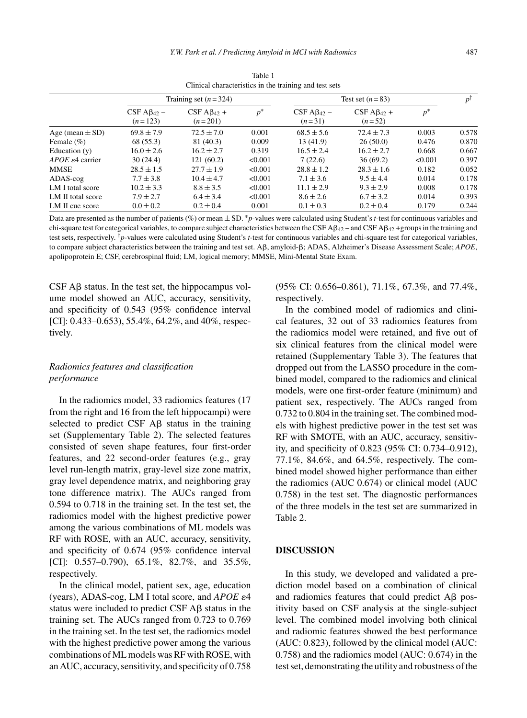|                           | Training set $(n=324)$           |                                  |         | Test set $(n=83)$               |                                 |         | p١    |
|---------------------------|----------------------------------|----------------------------------|---------|---------------------------------|---------------------------------|---------|-------|
|                           | $CSF A\beta_{42}$ –<br>$(n=123)$ | $CSF A\beta_{42} +$<br>$(n=201)$ | $p^*$   | $CSF A\beta_{42}$ –<br>$(n=31)$ | $CSF A\beta_{42} +$<br>$(n=52)$ | $p^*$   |       |
| Age (mean $\pm$ SD)       | $69.8 \pm 7.9$                   | $72.5 \pm 7.0$                   | 0.001   | $68.5 \pm 5.6$                  | $72.4 \pm 7.3$                  | 0.003   | 0.578 |
| Female $(\% )$            | 68 (55.3)                        | 81 (40.3)                        | 0.009   | 13(41.9)                        | 26(50.0)                        | 0.476   | 0.870 |
| Education $(y)$           | $16.0 \pm 2.6$                   | $16.2 + 2.7$                     | 0.319   | $16.5 \pm 2.4$                  | $16.2 + 2.7$                    | 0.668   | 0.667 |
| $APOE \epsilon 4$ carrier | 30(24.4)                         | 121(60.2)                        | <0.001  | 7(22.6)                         | 36(69.2)                        | < 0.001 | 0.397 |
| MMSE                      | $28.5 \pm 1.5$                   | $27.7 \pm 1.9$                   | < 0.001 | $28.8 \pm 1.2$                  | $28.3 \pm 1.6$                  | 0.182   | 0.052 |
| $ADAS-cog$                | $7.7 \pm 3.8$                    | $10.4 \pm 4.7$                   | < 0.001 | $7.1 \pm 3.6$                   | $9.5 \pm 4.4$                   | 0.014   | 0.178 |
| LM I total score          | $10.2 \pm 3.3$                   | $8.8 + 3.5$                      | <0.001  | $11.1 \pm 2.9$                  | $9.3 + 2.9$                     | 0.008   | 0.178 |
| LM II total score         | $7.9 + 2.7$                      | $6.4 \pm 3.4$                    | <0.001  | $8.6 \pm 2.6$                   | $6.7 + 3.2$                     | 0.014   | 0.393 |
| LM II cue score           | $0.0 \pm 0.2$                    | $0.2 \pm 0.4$                    | 0.001   | $0.1 \pm 0.3$                   | $0.2 \pm 0.4$                   | 0.179   | 0.244 |

Table 1 Clinical characteristics in the training and test sets

Data are presented as the number of patients (%) or mean ± SD. <sup>∗</sup>*p*-values were calculated using Student's *t*-test for continuous variables and chi-square test for categorical variables, to compare subject characteristics between the CSF  $AB_{42}$  – and CSF  $AB_{42}$  +groups in the training and test sets, respectively. †*p*-values were calculated using Student's *t*-test for continuous variables and chi-square test for categorical variables, to compare subject characteristics between the training and test set. Aβ, amyloid-β; ADAS, Alzheimer's Disease Assessment Scale; *APOE*, apolipoprotein E; CSF, cerebrospinal fluid; LM, logical memory; MMSE, Mini-Mental State Exam.

 $CSF$  A $\beta$  status. In the test set, the hippocampus volume model showed an AUC, accuracy, sensitivity, and specificity of 0.543 (95% confidence interval [CI]: 0.433–0.653), 55.4%, 64.2%, and 40%, respectively.

# *Radiomics features and classification performance*

In the radiomics model, 33 radiomics features (17 from the right and 16 from the left hippocampi) were selected to predict CSF  $\overrightarrow{AB}$  status in the training set (Supplementary Table 2). The selected features consisted of seven shape features, four first-order features, and 22 second-order features (e.g., gray level run-length matrix, gray-level size zone matrix, gray level dependence matrix, and neighboring gray tone difference matrix). The AUCs ranged from 0.594 to 0.718 in the training set. In the test set, the radiomics model with the highest predictive power among the various combinations of ML models was RF with ROSE, with an AUC, accuracy, sensitivity, and specificity of 0.674 (95% confidence interval [CI]:  $0.557-0.790$ ,  $65.1\%$ ,  $82.7\%$ , and  $35.5\%$ , respectively.

In the clinical model, patient sex, age, education (years), ADAS-cog, LM I total score, and  $APOE \epsilon 4$ status were included to predict CSF  $\text{A}\beta$  status in the training set. The AUCs ranged from 0.723 to 0.769 in the training set. In the test set, the radiomics model with the highest predictive power among the various combinations of ML models was RF with ROSE, with an AUC, accuracy, sensitivity, and specificity of 0.758

(95% CI: 0.656–0.861), 71.1%, 67.3%, and 77.4%, respectively.

In the combined model of radiomics and clinical features, 32 out of 33 radiomics features from the radiomics model were retained, and five out of six clinical features from the clinical model were retained (Supplementary Table 3). The features that dropped out from the LASSO procedure in the combined model, compared to the radiomics and clinical models, were one first-order feature (minimum) and patient sex, respectively. The AUCs ranged from 0.732 to 0.804 in the training set. The combined models with highest predictive power in the test set was RF with SMOTE, with an AUC, accuracy, sensitivity, and specificity of 0.823 (95% CI: 0.734–0.912), 77.1%, 84.6%, and 64.5%, respectively. The combined model showed higher performance than either the radiomics (AUC 0.674) or clinical model (AUC 0.758) in the test set. The diagnostic performances of the three models in the test set are summarized in Table 2.

## **DISCUSSION**

In this study, we developed and validated a prediction model based on a combination of clinical and radiomics features that could predict  $A\beta$  positivity based on CSF analysis at the single-subject level. The combined model involving both clinical and radiomic features showed the best performance (AUC: 0.823), followed by the clinical model (AUC: 0.758) and the radiomics model (AUC: 0.674) in the test set, demonstrating the utility and robustness of the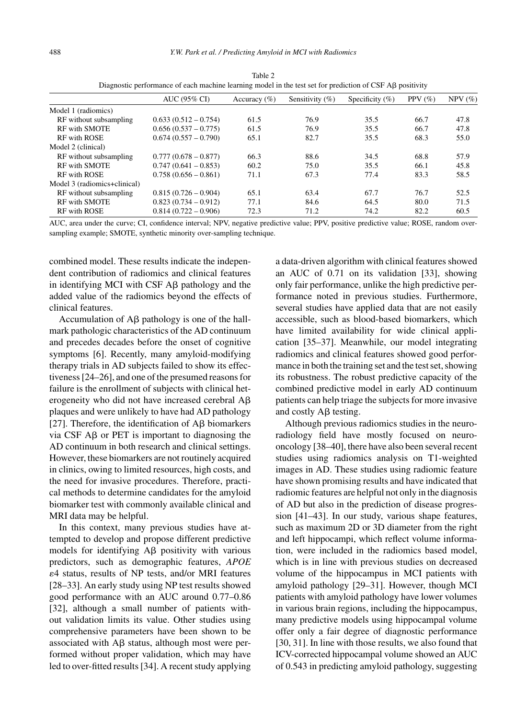|                              | AUC (95% CI)           | Accuracy $(\% )$ | Sensitivity $(\% )$ | Specificity $(\%)$ | PPV $(\% )$ | $NPV$ (%) |
|------------------------------|------------------------|------------------|---------------------|--------------------|-------------|-----------|
| Model 1 (radiomics)          |                        |                  |                     |                    |             |           |
| RF without subsampling       | $0.633(0.512 - 0.754)$ | 61.5             | 76.9                | 35.5               | 66.7        | 47.8      |
| <b>RF</b> with SMOTE         | $0.656(0.537 - 0.775)$ | 61.5             | 76.9                | 35.5               | 66.7        | 47.8      |
| <b>RF</b> with ROSE          | $0.674(0.557 - 0.790)$ | 65.1             | 82.7                | 35.5               | 68.3        | 55.0      |
| Model 2 (clinical)           |                        |                  |                     |                    |             |           |
| RF without subsampling       | $0.777(0.678 - 0.877)$ | 66.3             | 88.6                | 34.5               | 68.8        | 57.9      |
| <b>RF</b> with SMOTE         | $0.747(0.641 - 0.853)$ | 60.2             | 75.0                | 35.5               | 66.1        | 45.8      |
| <b>RF</b> with ROSE          | $0.758(0.656 - 0.861)$ | 71.1             | 67.3                | 77.4               | 83.3        | 58.5      |
| Model 3 (radiomics+clinical) |                        |                  |                     |                    |             |           |
| RF without subsampling       | $0.815(0.726 - 0.904)$ | 65.1             | 63.4                | 67.7               | 76.7        | 52.5      |
| <b>RF</b> with SMOTE         | $0.823(0.734 - 0.912)$ | 77.1             | 84.6                | 64.5               | 80.0        | 71.5      |
| RF with ROSE                 | $0.814(0.722 - 0.906)$ | 72.3             | 71.2                | 74.2               | 82.2        | 60.5      |

Table 2 Diagnostic performance of each machine learning model in the test set for prediction of CSF AB positivity

AUC, area under the curve; CI, confidence interval; NPV, negative predictive value; PPV, positive predictive value; ROSE, random oversampling example; SMOTE, synthetic minority over-sampling technique.

combined model. These results indicate the independent contribution of radiomics and clinical features in identifying MCI with  $CSF$  A $\beta$  pathology and the added value of the radiomics beyond the effects of clinical features.

Accumulation of  $\text{A}\beta$  pathology is one of the hallmark pathologic characteristics of the AD continuum and precedes decades before the onset of cognitive symptoms [6]. Recently, many amyloid-modifying therapy trials in AD subjects failed to show its effectiveness [24–26], and one of the presumed reasons for failure is the enrollment of subjects with clinical heterogeneity who did not have increased cerebral  $A\beta$ plaques and were unlikely to have had AD pathology [27]. Therefore, the identification of  $\text{A}\beta$  biomarkers via CSF  $\overrightarrow{AB}$  or PET is important to diagnosing the AD continuum in both research and clinical settings. However, these biomarkers are not routinely acquired in clinics, owing to limited resources, high costs, and the need for invasive procedures. Therefore, practical methods to determine candidates for the amyloid biomarker test with commonly available clinical and MRI data may be helpful.

In this context, many previous studies have attempted to develop and propose different predictive models for identifying  $\text{A}\beta$  positivity with various predictors, such as demographic features, *APOE* 4 status, results of NP tests, and/or MRI features [28–33]. An early study using NP test results showed good performance with an AUC around 0.77–0.86 [32], although a small number of patients without validation limits its value. Other studies using comprehensive parameters have been shown to be associated with  $\mathsf{A}\beta$  status, although most were performed without proper validation, which may have led to over-fitted results [34]. A recent study applying

a data-driven algorithm with clinical features showed an AUC of 0.71 on its validation [33], showing only fair performance, unlike the high predictive performance noted in previous studies. Furthermore, several studies have applied data that are not easily accessible, such as blood-based biomarkers, which have limited availability for wide clinical application [35–37]. Meanwhile, our model integrating radiomics and clinical features showed good performance in both the training set and the test set, showing its robustness. The robust predictive capacity of the combined predictive model in early AD continuum patients can help triage the subjects for more invasive and costly  $A\beta$  testing.

Although previous radiomics studies in the neuroradiology field have mostly focused on neurooncology [38–40], there have also been several recent studies using radiomics analysis on T1-weighted images in AD. These studies using radiomic feature have shown promising results and have indicated that radiomic features are helpful not only in the diagnosis of AD but also in the prediction of disease progression [41–43]. In our study, various shape features, such as maximum 2D or 3D diameter from the right and left hippocampi, which reflect volume information, were included in the radiomics based model, which is in line with previous studies on decreased volume of the hippocampus in MCI patients with amyloid pathology [29–31]. However, though MCI patients with amyloid pathology have lower volumes in various brain regions, including the hippocampus, many predictive models using hippocampal volume offer only a fair degree of diagnostic performance [30, 31]. In line with those results, we also found that ICV-corrected hippocampal volume showed an AUC of 0.543 in predicting amyloid pathology, suggesting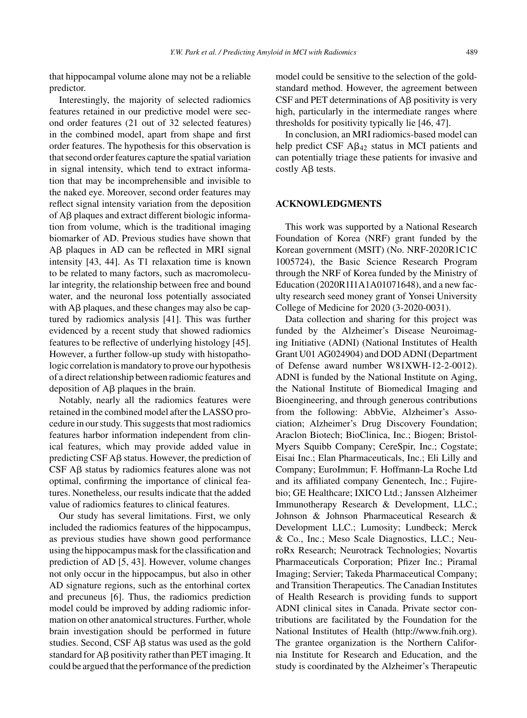that hippocampal volume alone may not be a reliable predictor.

Interestingly, the majority of selected radiomics features retained in our predictive model were second order features (21 out of 32 selected features) in the combined model, apart from shape and first order features. The hypothesis for this observation is that second order features capture the spatial variation in signal intensity, which tend to extract information that may be incomprehensible and invisible to the naked eye. Moreover, second order features may reflect signal intensity variation from the deposition of  $A\beta$  plaques and extract different biologic information from volume, which is the traditional imaging biomarker of AD. Previous studies have shown that Aβ plaques in AD can be reflected in MRI signal intensity [43, 44]. As T1 relaxation time is known to be related to many factors, such as macromolecular integrity, the relationship between free and bound water, and the neuronal loss potentially associated with  $\text{A}\beta$  plaques, and these changes may also be captured by radiomics analysis [41]. This was further evidenced by a recent study that showed radiomics features to be reflective of underlying histology [45]. However, a further follow-up study with histopathologic correlation is mandatory to prove our hypothesis of a direct relationship between radiomic features and deposition of  $A\beta$  plaques in the brain.

Notably, nearly all the radiomics features were retained in the combined model after the LASSO procedure in our study. This suggests that most radiomics features harbor information independent from clinical features, which may provide added value in predicting CSF  $\mathsf{A}\mathsf{B}$  status. However, the prediction of  $CSF$  A $\beta$  status by radiomics features alone was not optimal, confirming the importance of clinical features. Nonetheless, our results indicate that the added value of radiomics features to clinical features.

Our study has several limitations. First, we only included the radiomics features of the hippocampus, as previous studies have shown good performance using the hippocampus mask for the classification and prediction of AD [5, 43]. However, volume changes not only occur in the hippocampus, but also in other AD signature regions, such as the entorhinal cortex and precuneus [6]. Thus, the radiomics prediction model could be improved by adding radiomic information on other anatomical structures. Further, whole brain investigation should be performed in future studies. Second,  $CSF$  A $\beta$  status was used as the gold standard for  $A\beta$  positivity rather than PET imaging. It could be argued that the performance of the prediction model could be sensitive to the selection of the goldstandard method. However, the agreement between  $CSF$  and PET determinations of A $\beta$  positivity is very high, particularly in the intermediate ranges where thresholds for positivity typically lie [46, 47].

In conclusion, an MRI radiomics-based model can help predict CSF  $A\beta_{42}$  status in MCI patients and can potentially triage these patients for invasive and costly  $A\beta$  tests.

## **ACKNOWLEDGMENTS**

This work was supported by a National Research Foundation of Korea (NRF) grant funded by the Korean government (MSIT) (No. NRF-2020R1C1C 1005724), the Basic Science Research Program through the NRF of Korea funded by the Ministry of Education (2020R1I1A1A01071648), and a new faculty research seed money grant of Yonsei University College of Medicine for 2020 (3-2020-0031).

Data collection and sharing for this project was funded by the Alzheimer's Disease Neuroimaging Initiative (ADNI) (National Institutes of Health Grant U01 AG024904) and DOD ADNI (Department of Defense award number W81XWH-12-2-0012). ADNI is funded by the National Institute on Aging, the National Institute of Biomedical Imaging and Bioengineering, and through generous contributions from the following: AbbVie, Alzheimer's Association; Alzheimer's Drug Discovery Foundation; Araclon Biotech; BioClinica, Inc.; Biogen; Bristol-Myers Squibb Company; CereSpir, Inc.; Cogstate; Eisai Inc.; Elan Pharmaceuticals, Inc.; Eli Lilly and Company; EuroImmun; F. Hoffmann-La Roche Ltd and its affiliated company Genentech, Inc.; Fujirebio; GE Healthcare; IXICO Ltd.; Janssen Alzheimer Immunotherapy Research & Development, LLC.; Johnson & Johnson Pharmaceutical Research & Development LLC.; Lumosity; Lundbeck; Merck & Co., Inc.; Meso Scale Diagnostics, LLC.; NeuroRx Research; Neurotrack Technologies; Novartis Pharmaceuticals Corporation; Pfizer Inc.; Piramal Imaging; Servier; Takeda Pharmaceutical Company; and Transition Therapeutics. The Canadian Institutes of Health Research is providing funds to support ADNI clinical sites in Canada. Private sector contributions are facilitated by the Foundation for the National Institutes of Health [\(http://www.fnih.org](http://www.fnih.org)). The grantee organization is the Northern California Institute for Research and Education, and the study is coordinated by the Alzheimer's Therapeutic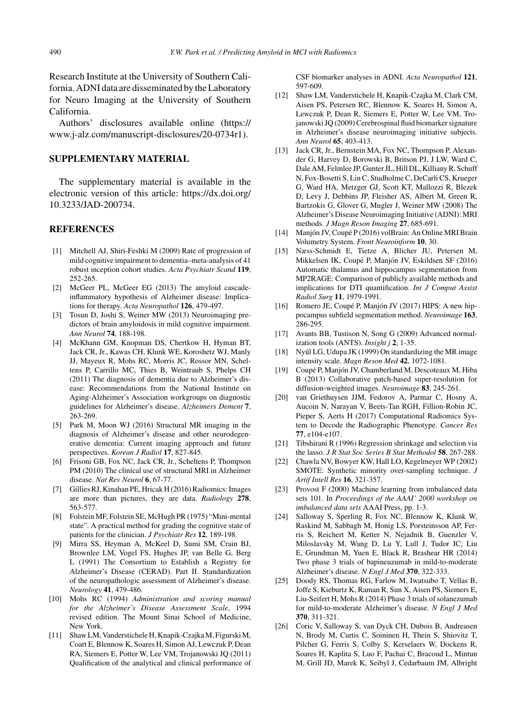Research Institute at the University of Southern California. ADNI data are disseminated by the Laboratory for Neuro Imaging at the University of Southern California.

Authors' disclosures available online (https:// www.j-alz.com/manuscript-disclosures/20-0734r1).

# **SUPPLEMENTARY MATERIAL**

The supplementary material is available in the electronic version of this article: [https://dx.doi.org/](https://dx.doi.org/10.3233/JAD-200734) 10.3233/JAD-200734.

#### **REFERENCES**

- [1] Mitchell AJ, Shiri-Feshki M (2009) Rate of progression of mild cognitive impairment to dementia–meta-analysis of 41 robust inception cohort studies. *Acta Psychiatr Scand* **119**, 252-265.
- [2] McGeer PL, McGeer EG (2013) The amyloid cascadeinflammatory hypothesis of Alzheimer disease: Implications for therapy. *Acta Neuropathol* **126**, 479-497.
- [3] Tosun D, Joshi S, Weiner MW (2013) Neuroimaging predictors of brain amyloidosis in mild cognitive impairment. *Ann Neurol* **74**, 188-198.
- [4] McKhann GM, Knopman DS, Chertkow H, Hyman BT, Jack CR, Jr., Kawas CH, Klunk WE, Koroshetz WJ, Manly JJ, Mayeux R, Mohs RC, Morris JC, Rossor MN, Scheltens P, Carrillo MC, Thies B, Weintraub S, Phelps CH (2011) The diagnosis of dementia due to Alzheimer's disease: Recommendations from the National Institute on Aging-Alzheimer's Association workgroups on diagnostic guidelines for Alzheimer's disease. *Alzheimers Dement* **7**, 263-269.
- [5] Park M, Moon WJ (2016) Structural MR imaging in the diagnosis of Alzheimer's disease and other neurodegenerative dementia: Current imaging approach and future perspectives. *Korean J Radiol* **17**, 827-845.
- [6] Frisoni GB, Fox NC, Jack CR, Jr., Scheltens P, Thompson PM (2010) The clinical use of structural MRI in Alzheimer disease. *Nat Rev Neurol* **6**, 67-77.
- [7] Gillies RJ, Kinahan PE, Hricak H (2016) Radiomics: Images are more than pictures, they are data. *Radiology* **278**, 563-577.
- [8] Folstein MF, Folstein SE, McHugh PR (1975) "Mini-mental state". A practical method for grading the cognitive state of patients for the clinician. *J Psychiatr Res* **12**, 189-198.
- [9] Mirra SS, Heyman A, McKeel D, Sumi SM, Crain BJ, Brownlee LM, Vogel FS, Hughes JP, van Belle G, Berg L (1991) The Consortium to Establish a Registry for Alzheimer's Disease (CERAD). Part II. Standardization of the neuropathologic assessment of Alzheimer's disease. *Neurology* **41**, 479-486.
- [10] Mohs RC (1994) *Administration and scoring manual for the Alzheimer's Disease Assessment Scale*, 1994 revised edition. The Mount Sinai School of Medicine, New York.
- [11] Shaw LM, Vanderstichele H, Knapik-Czajka M, Figurski M, Coart E, Blennow K, Soares H, Simon AJ, Lewczuk P, Dean RA, Siemers E, Potter W, Lee VM, Trojanowski JQ (2011) Qualification of the analytical and clinical performance of

CSF biomarker analyses in ADNI. *Acta Neuropathol* **121**, 597-609.

- [12] Shaw LM, Vanderstichele H, Knapik-Czajka M, Clark CM, Aisen PS, Petersen RC, Blennow K, Soares H, Simon A, Lewczuk P, Dean R, Siemers E, Potter W, Lee VM, Tro[janowski JQ \(2009\) Cerebrospinal fluid biomarke](https://www.j-alz.com/manuscript-disclosures/20-0734r1)r signature in Alzheimer's disease neuroimaging initiative subjects. *Ann Neurol* **65**, 403-413.
- [13] Jack CR, Jr., Bernstein MA, Fox NC, Thompson P, Alexander G, Harvey D, Borowski B, Britson PJ, J LW, Ward C, Dale AM, Felmlee JP, Gunter JL, Hill DL, Killiany R, Schuff N, Fox-Bosetti S, Lin C, Studholme C, DeCarli CS, Krueger G, Ward HA, Metzger GJ, Scott KT, Mallozzi R, Blezek D, Levy J, Debbins JP, Fleisher AS, Albert M, Green R, Bartzokis G, Glover G, Mugler J, Weiner MW (2008) The Alzheimer's Disease Neuroimaging Initiative (ADNI): MRI methods. *J Magn Reson Imaging* **27**, 685-691.
- [14] Manjón JV, Coupé P (2016) volBrain: An Online MRI Brain Volumetry System. *Front Neuroinform* **10**, 30.
- [15] Næss-Schmidt E, Tietze A, Blicher JU, Petersen M, Mikkelsen IK, Coupé P, Manjón JV, Eskildsen SF (2016) Automatic thalamus and hippocampus segmentation from MP2RAGE: Comparison of publicly available methods and implications for DTI quantification. *Int J Comput Assist Radiol Surg* **11**, 1979-1991.
- [16] Romero JE, Coupé P, Manjón JV (2017) HIPS: A new hippocampus subfield segmentation method. *Neuroimage* **163**, 286-295.
- [17] Avants BB, Tustison N, Song G (2009) Advanced normalization tools (ANTS). *Insight j* **2**, 1-35.
- [18] Nyúl LG, Udupa JK (1999) On standardizing the MR image intensity scale. *Magn Reson Med* **42**, 1072-1081.
- [19] Coupé P, Manjón JV, Chamberland M, Descoteaux M, Hiba B (2013) Collaborative patch-based super-resolution for diffusion-weighted images. *Neuroimage* **83**, 245-261.
- [20] van Griethuysen JJM, Fedorov A, Parmar C, Hosny A, Aucoin N, Narayan V, Beets-Tan RGH, Fillion-Robin JC, Pieper S, Aerts H (2017) Computational Radiomics System to Decode the Radiographic Phenotype. *Cancer Res* **77**, e104-e107.
- [21] Tibshirani R (1996) Regression shrinkage and selection via the lasso. *J R Stat Soc Series B Stat Methodol* **58**, 267-288.
- [22] Chawla NV, Bowyer KW, Hall LO, Kegelmeyer WP (2002) SMOTE: Synthetic minority over-sampling technique. *J Artif Intell Res* **16**, 321-357.
- [23] Provost F (2000) Machine learning from imbalanced data sets 101. In *Proceedings of the AAAI' 2000 workshop on imbalanced data sets* AAAI Press, pp. 1-3.
- [24] Salloway S, Sperling R, Fox NC, Blennow K, Klunk W, Raskind M, Sabbagh M, Honig LS, Porsteinsson AP, Ferris S, Reichert M, Ketter N, Nejadnik B, Guenzler V, Miloslavsky M, Wang D, Lu Y, Lull J, Tudor IC, Liu E, Grundman M, Yuen E, Black R, Brashear HR (2014) Two phase 3 trials of bapineuzumab in mild-to-moderate Alzheimer's disease. *N Engl J Med* **370**, 322-333.
- [25] Doody RS, Thomas RG, Farlow M, Iwatsubo T, Vellas B, Joffe S, Kieburtz K, Raman R, Sun X, Aisen PS, Siemers E, Liu-Seifert H, Mohs R (2014) Phase 3 trials of solanezumab for mild-to-moderate Alzheimer's disease. *N Engl J Med* **370**, 311-321.
- [26] Coric V, Salloway S, van Dyck CH, Dubois B, Andreasen N, Brody M, Curtis C, Soininen H, Thein S, Shiovitz T, Pilcher G, Ferris S, Colby S, Kerselaers W, Dockens R, Soares H, Kaplita S, Luo F, Pachai C, Bracoud L, Mintun M, Grill JD, Marek K, Seibyl J, Cedarbaum JM, Albright